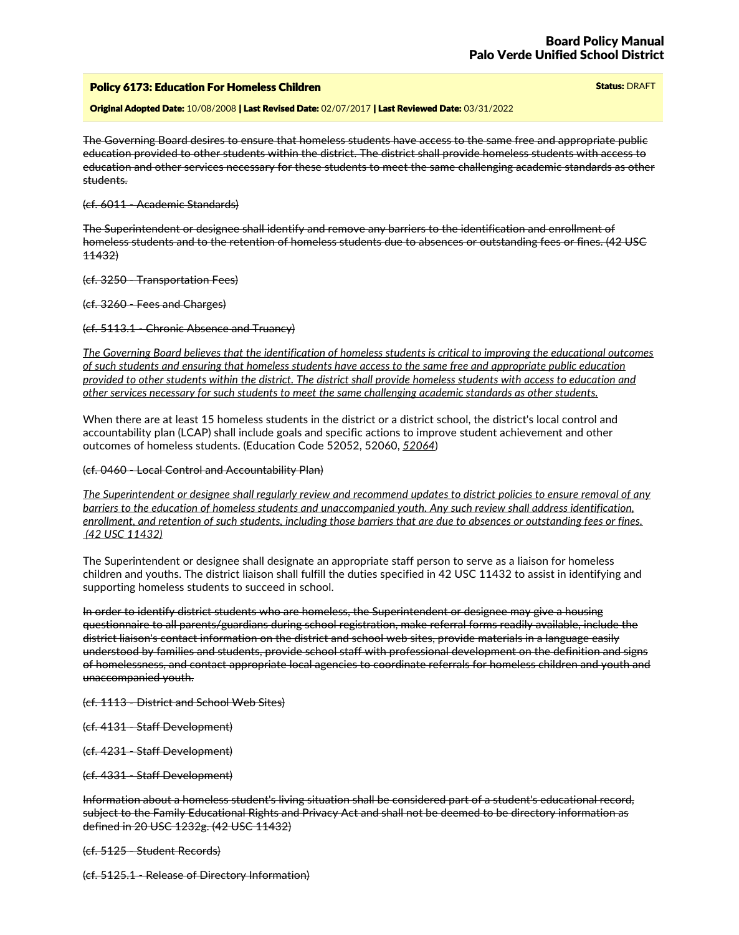## Policy 6173: Education For Homeless Children Status: DRAFT Status: DRAFT Status: DRAFT

Original Adopted Date: 10/08/2008 | Last Revised Date: 02/07/2017 | Last Reviewed Date: 03/31/2022

The Governing Board desires to ensure that homeless students have access to the same free and appropriate public education provided to other students within the district. The district shall provide homeless students with access to education and other services necessary for these students to meet the same challenging academic standards as other students.

### (cf. 6011 - Academic Standards)

The Superintendent or designee shall identify and remove any barriers to the identification and enrollment of homeless students and to the retention of homeless students due to absences or outstanding fees or fines. (42 USC 11432)

(cf. 3250 - Transportation Fees)

(cf. 3260 - Fees and Charges)

### (cf. 5113.1 - Chronic Absence and Truancy)

The Governing Board believes that the identification of homeless students is critical to improving the educational outcomes of such students and ensuring that homeless students have access to the same free and appropriate public education provided to other students within the district. The district shall provide homeless students with access to education and *other services necessary for such students to meet the same challenging academic standards as other students.*

When there are at least 15 homeless students in the district or a district school, the district's local control and accountability plan (LCAP) shall include goals and specific actions to improve student achievement and other outcomes of homeless students. (Education Code 52052, 52060, *52064*)

### (cf. 0460 - Local Control and Accountability Plan)

The Superintendent or designee shall regularly review and recommend updates to district policies to ensure removal of any barriers to the education of homeless students and unaccompanied vouth. Any such review shall address identification. enrollment, and retention of such students, including those barriers that are due to absences or outstanding fees or fines. *(42 USC 11432)*

The Superintendent or designee shall designate an appropriate staff person to serve as a liaison for homeless children and youths. The district liaison shall fulfill the duties specified in 42 USC 11432 to assist in identifying and supporting homeless students to succeed in school.

In order to identify district students who are homeless, the Superintendent or designee may give a housing questionnaire to all parents/guardians during school registration, make referral forms readily available, include the district liaison's contact information on the district and school web sites, provide materials in a language easily understood by families and students, provide school staff with professional development on the definition and signs of homelessness, and contact appropriate local agencies to coordinate referrals for homeless children and youth and unaccompanied youth.

(cf. 1113 - District and School Web Sites)

- (cf. 4131 Staff Development)
- (cf. 4231 Staff Development)

(cf. 4331 - Staff Development)

Information about a homeless student's living situation shall be considered part of a student's educational record, subject to the Family Educational Rights and Privacy Act and shall not be deemed to be directory information as defined in 20 USC 1232g. (42 USC 11432)

(cf. 5125 - Student Records)

(cf. 5125.1 - Release of Directory Information)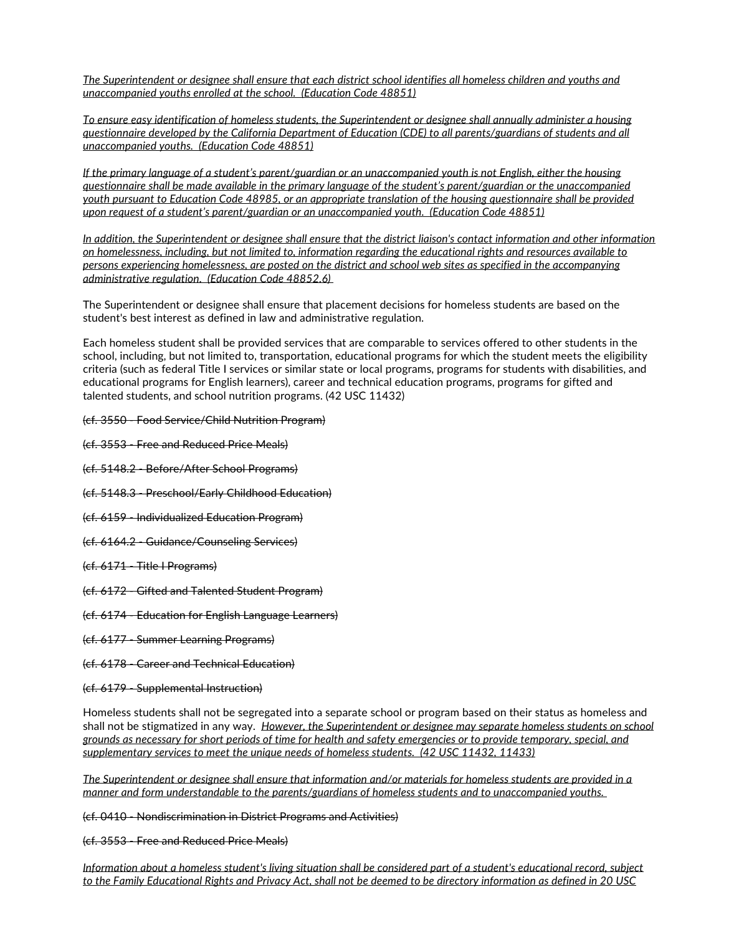The Superintendent or designee shall ensure that each district school identifies all homeless children and youths and *unaccompanied youths enrolled at the school. (Education Code 48851)*

*To ensure easy identification ofhomeless students, the Superintendent or designee shall annually administer a housing* auestionnaire developed by the California Department of Education (CDE) to all parents/guardians of students and all *unaccompanied youths. (Education Code 48851)*

If the primary language of a student's parent/guardian or an unaccompanied youth is not English, either the housing questionnaire shall be made available in the primary language of the student's parent/guardian or the unaccompanied youth pursuant to Education Code 48985, or an appropriate translation of the housing questionnaire shall be provided *upon request of a student's parent/guardian or an unaccompanied youth. (Education Code 48851)*

In addition, the Superintendent or designee shall ensure that the district liaison's contact information and other information on homelessness, including, but not limited to, information regarding the educational rights and resources available to persons experiencing homelessness, are posted on the district and school web sites as specified in the accompanying *administrative regulation. (Education Code 48852.6)*

The Superintendent or designee shall ensure that placement decisions for homeless students are based on the student's best interest as defined in law and administrative regulation.

Each homeless student shall be provided services that are comparable to services offered to other students in the school, including, but not limited to, transportation, educational programs for which the student meets the eligibility criteria (such as federal Title I services or similar state or local programs, programs for students with disabilities, and educational programs for English learners), career and technical education programs, programs for gifted and talented students, and school nutrition programs. (42 USC 11432)

- (cf. 3550 Food Service/Child Nutrition Program)
- (cf. 3553 Free and Reduced Price Meals)
- (cf. 5148.2 Before/After School Programs)
- (cf. 5148.3 Preschool/Early Childhood Education)
- (cf. 6159 Individualized Education Program)
- (cf. 6164.2 Guidance/Counseling Services)
- (cf. 6171 Title I Programs)
- (cf. 6172 Gifted and Talented Student Program)
- (cf. 6174 Education for English Language Learners)
- (cf. 6177 Summer Learning Programs)
- (cf. 6178 Career and Technical Education)
- (cf. 6179 Supplemental Instruction)

Homeless students shall not be segregated into a separate school or program based on their status as homeless and shall not be stigmatized in any way. *However, the Superintendent or designee may separate homeless students on school* grounds as necessary for short periods of time for health and safety emergencies or to provide temporary, special, and *supplementary services to meet the unique needs of homeless students. (42 USC 11432, 11433)*

The Superintendent or designee shall ensure that information and/or materials for homeless students are provided in a *manner and form understandable to the parents/guardians of homeless students and to unaccompanied youths.*

(cf. 0410 - Nondiscrimination in District Programs and Activities)

(cf. 3553 - Free and Reduced Price Meals)

Information about a homeless student's living situation shall be considered part of a student's educational record, subject to the Family Educational Rights and Privacy Act, shall not be deemed to be directory information as defined in 20 USC